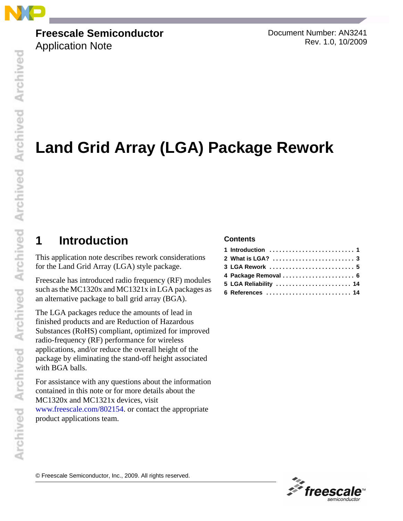

### **Freescale Semiconductor**

Application Note

Document Number: AN3241 Rev. 1.0, 10/2009

# **Land Grid Array (LGA) Package Rework**

# **1 Introduction**

This application note describes rework considerations for the Land Grid Array (LGA) style package.

Freescale has introduced radio frequency (RF) modules such as the MC1320x and MC1321x in LGA packages as an alternative package to ball grid array (BGA).

The LGA packages reduce the amounts of lead in finished products and are Reduction of Hazardous Substances (RoHS) compliant, optimized for improved radio-frequency (RF) performance for wireless applications, and/or reduce the overall height of the package by eliminating the stand-off height associated with BGA balls.

For assistance with any questions about the information contained in this note or for more details about the MC1320x and MC1321x devices, visit www.freescale.com/802154[. or contact the appropriate](http://www.freescale.com/802154)  [product applications team.](http://www.freescale.com/802154)

#### **Contents**

| 1 Introduction $\ldots \ldots \ldots \ldots \ldots \ldots \ldots \ldots$ |
|--------------------------------------------------------------------------|
|                                                                          |
|                                                                          |
| 4 Package Removal  6                                                     |
| 5 LGA Reliability  14                                                    |
| 6 References  14                                                         |

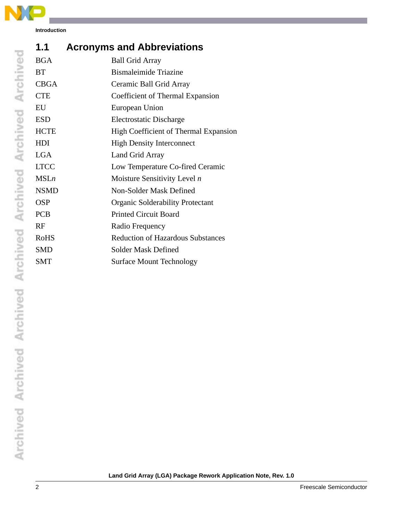

**Introduction**

| 1.1         | <b>Acronyms and Abbreviations</b>            |
|-------------|----------------------------------------------|
| <b>BGA</b>  | <b>Ball Grid Array</b>                       |
| <b>BT</b>   | <b>Bismaleimide Triazine</b>                 |
| <b>CBGA</b> | Ceramic Ball Grid Array                      |
| <b>CTE</b>  | Coefficient of Thermal Expansion             |
| EU          | European Union                               |
| <b>ESD</b>  | <b>Electrostatic Discharge</b>               |
| <b>HCTE</b> | <b>High Coefficient of Thermal Expansion</b> |
| <b>HDI</b>  | <b>High Density Interconnect</b>             |
| <b>LGA</b>  | Land Grid Array                              |
| <b>LTCC</b> | Low Temperature Co-fired Ceramic             |
| MSLn        | Moisture Sensitivity Level $n$               |
| <b>NSMD</b> | Non-Solder Mask Defined                      |
| <b>OSP</b>  | <b>Organic Solderability Protectant</b>      |
| <b>PCB</b>  | <b>Printed Circuit Board</b>                 |
| RF          | Radio Frequency                              |
| <b>RoHS</b> | <b>Reduction of Hazardous Substances</b>     |
| SMD         | <b>Solder Mask Defined</b>                   |
| <b>SMT</b>  | <b>Surface Mount Technology</b>              |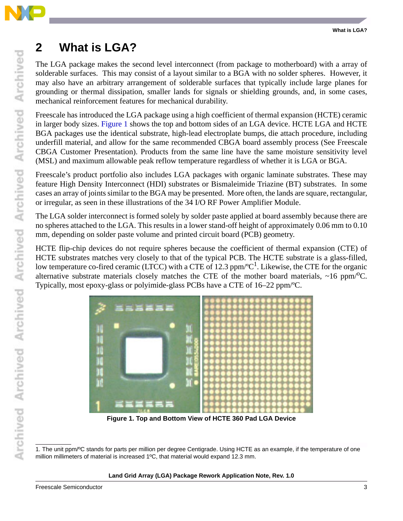

## **2 What is LGA?**

The LGA package makes the second level interconnect (from package to motherboard) with a array of solderable surfaces. This may consist of a layout similar to a BGA with no solder spheres. However, it may also have an arbitrary arrangement of solderable surfaces that typically include large planes for grounding or thermal dissipation, smaller lands for signals or shielding grounds, and, in some cases, mechanical reinforcement features for mechanical durability.

Freescale has introduced the LGA package using a high coefficient of thermal expansion (HCTE) ceramic in larger body sizes. [Figure 1](#page-2-0) shows the top and bottom sides of an LGA device. HCTE LGA and HCTE BGA packages use the identical substrate, high-lead electroplate bumps, die attach procedure, including underfill material, and allow for the same recommended CBGA board assembly process (See Freescale CBGA Customer Presentation). Products from the same line have the same moisture sensitivity level (MSL) and maximum allowable peak reflow temperature regardless of whether it is LGA or BGA.

Freescale's product portfolio also includes LGA packages with organic laminate substrates. These may feature High Density Interconnect (HDI) substrates or Bismaleimide Triazine (BT) substrates. In some cases an array of joints similar to the BGA may be presented. More often, the lands are square, rectangular, or irregular, as seen in these illustrations of the 34 I/O RF Power Amplifier Module.

The LGA solder interconnect is formed solely by solder paste applied at board assembly because there are no spheres attached to the LGA. This results in a lower stand-off height of approximately 0.06 mm to 0.10 mm, depending on solder paste volume and printed circuit board (PCB) geometry.

HCTE flip-chip devices do not require spheres because the coefficient of thermal expansion (CTE) of HCTE substrates matches very closely to that of the typical PCB. The HCTE substrate is a glass-filled, low temperature co-fired ceramic (LTCC) with a CTE of 12.3 ppm/ ${}^{\circ}C^{1}$ . Likewise, the CTE for the organic alternative substrate materials closely matches the CTE of the mother board materials,  $\sim$ 16 ppm/<sup>o</sup>C. Typically, most epoxy-glass or polyimide-glass PCBs have a CTE of 16–22 ppm/ºC.



**Figure 1. Top and Bottom View of HCTE 360 Pad LGA Device**

<span id="page-2-0"></span><sup>1.</sup> The unit ppm/ºC stands for parts per million per degree Centigrade. Using HCTE as an example, if the temperature of one million millimeters of material is increased 1ºC, that material would expand 12.3 mm.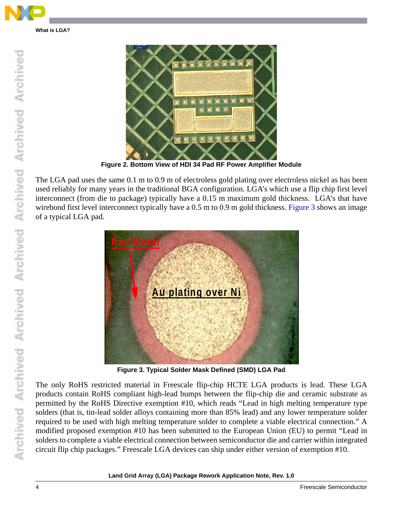

**What is LGA?**



**Figure 2. Bottom View of HDI 34 Pad RF Power Amplifier Module**

The LGA pad uses the same 0.1 m to 0.9 m of electroless gold plating over electroless nickel as has been used reliably for many years in the traditional BGA configuration. LGA's which use a flip chip first level interconnect (from die to package) typically have a 0.15 m maximum gold thickness. LGA's that have wirebond first level interconnect typically have a 0.5 m to 0.9 m gold thickness. [Figure 3](#page-3-0) shows an image of a typical LGA pad.



**Figure 3. Typical Solder Mask Defined (SMD) LGA Pad**

<span id="page-3-0"></span>The only RoHS restricted material in Freescale flip-chip HCTE LGA products is lead. These LGA products contain RoHS compliant high-lead bumps between the flip-chip die and ceramic substrate as permitted by the RoHS Directive exemption #10, which reads "Lead in high melting temperature type solders (that is, tin-lead solder alloys containing more than 85% lead) and any lower temperature solder required to be used with high melting temperature solder to complete a viable electrical connection." A modified proposed exemption #10 has been submitted to the European Union (EU) to permit "Lead in solders to complete a viable electrical connection between semiconductor die and carrier within integrated circuit flip chip packages." Freescale LGA devices can ship under either version of exemption #10.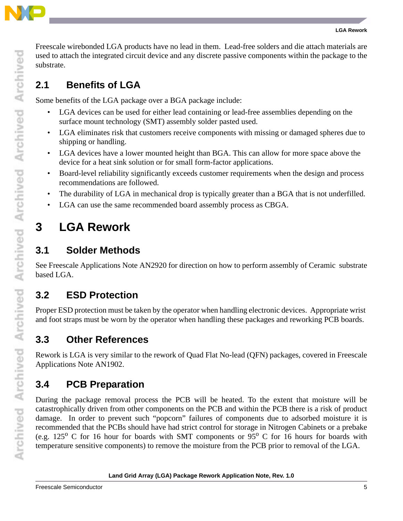

Freescale wirebonded LGA products have no lead in them. Lead-free solders and die attach materials are used to attach the integrated circuit device and any discrete passive components within the package to the substrate.

### **2.1 Benefits of LGA**

Some benefits of the LGA package over a BGA package include:

- LGA devices can be used for either lead containing or lead-free assemblies depending on the surface mount technology (SMT) assembly solder pasted used.
- LGA eliminates risk that customers receive components with missing or damaged spheres due to shipping or handling.
- LGA devices have a lower mounted height than BGA. This can allow for more space above the device for a heat sink solution or for small form-factor applications.
- Board-level reliability significantly exceeds customer requirements when the design and process recommendations are followed.
- The durability of LGA in mechanical drop is typically greater than a BGA that is not underfilled.
- LGA can use the same recommended board assembly process as CBGA.

# **3 LGA Rework**

### **3.1 Solder Methods**

See Freescale Applications Note AN2920 for direction on how to perform assembly of Ceramic substrate based LGA.

## **3.2 ESD Protection**

Proper ESD protection must be taken by the operator when handling electronic devices. Appropriate wrist and foot straps must be worn by the operator when handling these packages and reworking PCB boards.

## **3.3 Other References**

Rework is LGA is very similar to the rework of Quad Flat No-lead (QFN) packages, covered in Freescale Applications Note AN1902.

## **3.4 PCB Preparation**

During the package removal process the PCB will be heated. To the extent that moisture will be catastrophically driven from other components on the PCB and within the PCB there is a risk of product damage. In order to prevent such "popcorn" failures of components due to adsorbed moisture it is recommended that the PCBs should have had strict control for storage in Nitrogen Cabinets or a prebake (e.g. 125<sup>o</sup> C for 16 hour for boards with SMT components or  $95^{\circ}$  C for 16 hours for boards with temperature sensitive components) to remove the moisture from the PCB prior to removal of the LGA.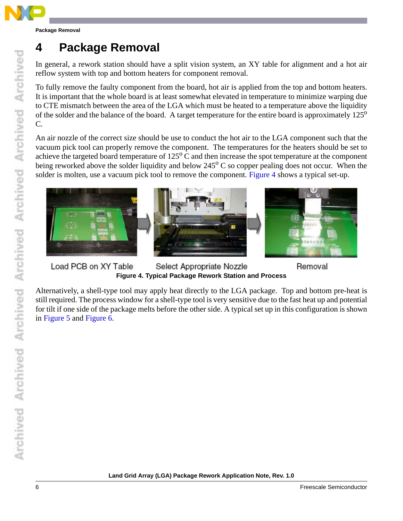

In general, a rework station should have a split vision system, an XY table for alignment and a hot air reflow system with top and bottom heaters for component removal.

To fully remove the faulty component from the board, hot air is applied from the top and bottom heaters. [It is important that the whole board is at least somewhat elevated in temperature to minimize warping due](http://www.freescale.com/files/32bit/doc/package_info/CBGAPRES.pdf) to CTE mismatch between the area of the LGA which must be heated to a temperature above the liquidity [of the solder and the balance of the board. A target temperature for the entire board is approximately 125](http://www.freescale.com/files/32bit/doc/package_info/CBGAPRES.pdf)<sup>o</sup> C.

An air nozzle of the correct size should be use to conduct the hot air to the LGA component such that the vacuum pick tool can properly remove the component. The temperatures for the heaters should be set to achieve the targeted board temperature of  $125^{\circ}$  C and then increase the spot temperature at the component being reworked above the solder liquidity and below  $245^{\circ}$  C so copper pealing does not occur. When the solder is molten, use a vacuum pick tool to remove the component. [Figure 4](#page-5-0) shows a typical set-up.



Load PCB on XY Table Select Appropriate Nozzle **Figure 4. Typical Package Rework Station and Process**

<span id="page-5-0"></span>Alternatively, a shell-type tool may apply heat directly to the LGA package. Top and bottom pre-heat is still required. The process window for a shell-type tool is very sensitive due to the fast heat up and potential for tilt if one side of the package melts before the other side. A typical set up in this configuration is shown in [Figure 5](#page-6-0) and [Figure 6](#page-6-1).

Removal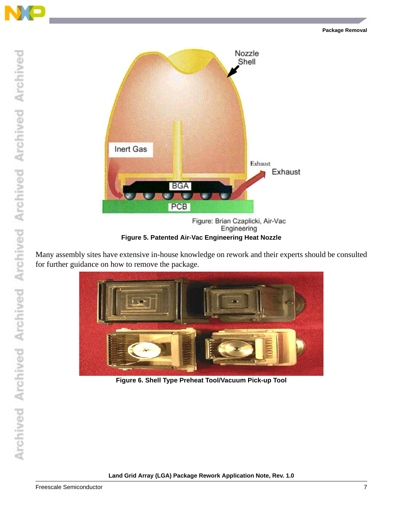



Engineering **Figure 5. Patented Air-Vac Engineering Heat Nozzle**

<span id="page-6-0"></span>Many assembly sites have extensive in-house knowledge on rework and their experts should be consulted for further guidance on how to remove the package.

<span id="page-6-1"></span>

**Figure 6. Shell Type Preheat Tool/Vacuum Pick-up Tool**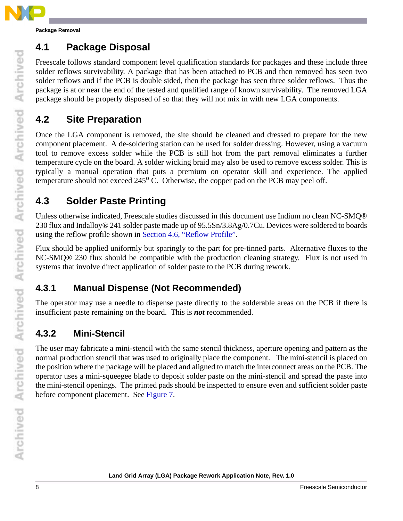

### **4.1 Package Disposal**

Freescale follows standard component level qualification standards for packages and these include three solder reflows survivability. A package that has been attached to PCB and then removed has seen two solder reflows and if the PCB is double sided, then the package has seen three solder reflows. Thus the package is at or near the end of the tested and qualified range of known survivability. The removed LGA package should be properly disposed of so that they will not mix in with new LGA components.

### **4.2 Site Preparation**

Once the LGA component is removed, the site should be cleaned and dressed to prepare for the new component placement. A de-soldering station can be used for solder dressing. However, using a vacuum tool to remove excess solder while the PCB is still hot from the part removal eliminates a further temperature cycle on the board. A solder wicking braid may also be used to remove excess solder. This is typically a manual operation that puts a premium on operator skill and experience. The applied temperature should not exceed  $245^{\circ}$  C. Otherwise, the copper pad on the PCB may peel off.

## **4.3 Solder Paste Printing**

Unless otherwise indicated, Freescale studies discussed in this document use Indium no clean NC-SMQ® 230 flux and Indalloy® 241 solder paste made up of 95.5Sn/3.8Ag/0.7Cu. Devices were soldered to boards using the reflow profile shown in [Section 4.6, "Reflow Profile"](#page-12-0).

Flux should be applied uniformly but sparingly to the part for pre-tinned parts. Alternative fluxes to the NC-SMQ® 230 flux should be compatible with the production cleaning strategy. Flux is not used in systems that involve direct application of solder paste to the PCB during rework.

#### **4.3.1 Manual Dispense (Not Recommended)**

The operator may use a needle to dispense paste directly to the solderable areas on the PCB if there is insufficient paste remaining on the board. This is *not* recommended.

### **4.3.2 Mini-Stencil**

The user may fabricate a mini-stencil with the same stencil thickness, aperture opening and pattern as the normal production stencil that was used to originally place the component. The mini-stencil is placed on the position where the package will be placed and aligned to match the interconnect areas on the PCB. The operator uses a mini-squeegee blade to deposit solder paste on the mini-stencil and spread the paste into the mini-stencil openings. The printed pads should be inspected to ensure even and sufficient solder paste before component placement. See [Figure 7.](#page-8-0)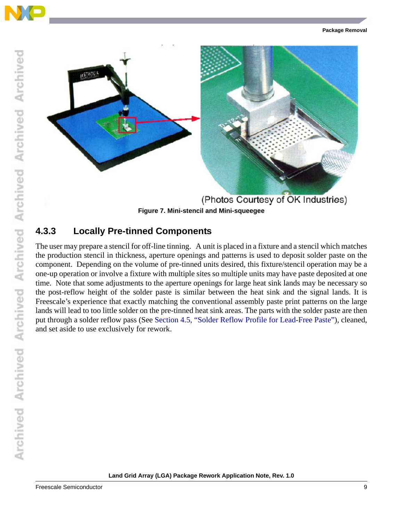

#### <span id="page-8-0"></span>**4.3.3 Locally Pre-tinned Components**

The user may prepare a stencil for off-line tinning. A unit is placed in a fixture and a stencil which matches the production stencil in thickness, aperture openings and patterns is used to deposit solder paste on the component. Depending on the volume of pre-tinned units desired, this fixture/stencil operation may be a one-up operation or involve a fixture with multiple sites so multiple units may have paste deposited at one time. Note that some adjustments to the aperture openings for large heat sink lands may be necessary so the post-reflow height of the solder paste is similar between the heat sink and the signal lands. It is Freescale's experience that exactly matching the conventional assembly paste print patterns on the large lands will lead to too little solder on the pre-tinned heat sink areas. The parts with the solder paste are then put through a solder reflow pass (See [Section 4.5, "Solder Reflow Profile for Lead-Free Paste"](#page-11-0)), cleaned, and set aside to use exclusively for rework.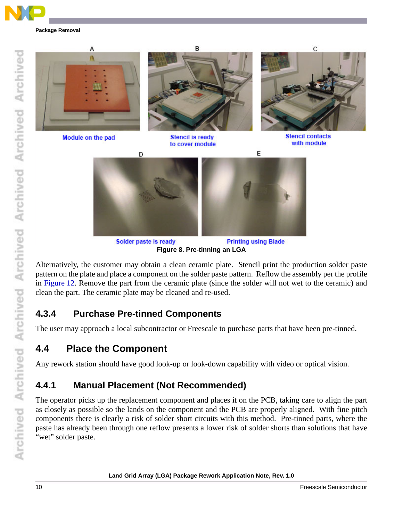





**Printing using Blade** Solder paste is ready **Figure 8. Pre-tinning an LGA**

Alternatively, the customer may obtain a clean ceramic plate. Stencil print the production solder paste pattern on the plate and place a component on the solder paste pattern. Reflow the assembly per the profile in [Figure 12](#page-12-1). Remove the part from the ceramic plate (since the solder will not wet to the ceramic) and clean the part. The ceramic plate may be cleaned and re-used.

### **4.3.4 Purchase Pre-tinned Components**

The user may approach a local subcontractor or Freescale to purchase parts that have been pre-tinned.

#### **4.4 Place the Component**

Any rework station should have good look-up or look-down capability with video or optical vision.

#### **4.4.1 Manual Placement (Not Recommended)**

The operator picks up the replacement component and places it on the PCB, taking care to align the part as closely as possible so the lands on the component and the PCB are properly aligned. With fine pitch components there is clearly a risk of solder short circuits with this method. Pre-tinned parts, where the paste has already been through one reflow presents a lower risk of solder shorts than solutions that have "wet" solder paste.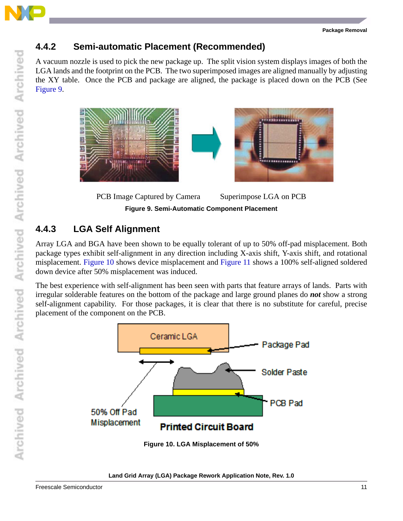

#### **4.4.2 Semi-automatic Placement (Recommended)**

A vacuum nozzle is used to pick the new package up. The split vision system displays images of both the LGA lands and the footprint on the PCB. The two superimposed images are aligned manually by adjusting the XY table. Once the PCB and package are aligned, the package is placed down on the PCB (See [Figure 9](#page-10-0).



PCB Image Captured by Camera Superimpose LGA on PCB **Figure 9. Semi-Automatic Component Placement**

#### <span id="page-10-0"></span>**4.4.3 LGA Self Alignment**

Array LGA and BGA have been shown to be equally tolerant of up to 50% off-pad misplacement. Both package types exhibit self-alignment in any direction including X-axis shift, Y-axis shift, and rotational misplacement. [Figure 10](#page-10-1) shows device misplacement and [Figure 11](#page-11-1) shows a 100% self-aligned soldered down device after 50% misplacement was induced.

The best experience with self-alignment has been seen with parts that feature arrays of lands. Parts with irregular solderable features on the bottom of the package and large ground planes do *not* show a strong self-alignment capability. For those packages, it is clear that there is no substitute for careful, precise placement of the component on the PCB.



#### <span id="page-10-1"></span>**Land Grid Array (LGA) Package Rework Application Note, Rev. 1.0**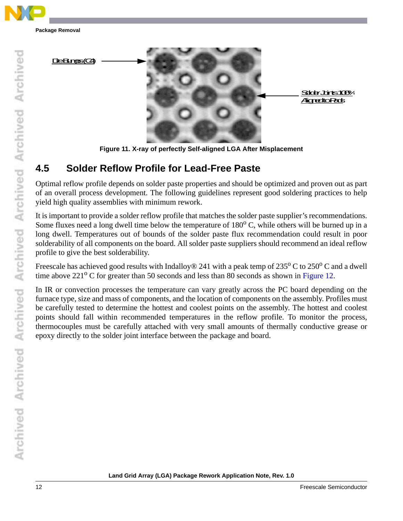



**Figure 11. X-ray of perfectly Self-aligned LGA After Misplacement**

### <span id="page-11-1"></span><span id="page-11-0"></span>**4.5 Solder Reflow Profile for Lead-Free Paste**

Optimal reflow profile depends on solder paste properties and should be optimized and proven out as part of an overall process development. The following guidelines represent good soldering practices to help yield high quality assemblies with minimum rework.

It is important to provide a solder reflow profile that matches the solder paste supplier's recommendations. Some fluxes need a long dwell time below the temperature of  $180^{\circ}$  C, while others will be burned up in a long dwell. Temperatures out of bounds of the solder paste flux recommendation could result in poor solderability of all components on the board. All solder paste suppliers should recommend an ideal reflow profile to give the best solderability.

Freescale has achieved good results with Indalloy® 241 with a peak temp of 235 $\rm ^{o}$  C to 250 $\rm ^{o}$  C and a dwell time above  $221^{\circ}$  C for greater than 50 seconds and less than 80 seconds as shown in [Figure 12.](#page-12-1)

In IR or convection processes the temperature can vary greatly across the PC board depending on the furnace type, size and mass of components, and the location of components on the assembly. Profiles must be carefully tested to determine the hottest and coolest points on the assembly. The hottest and coolest points should fall within recommended temperatures in the reflow profile. To monitor the process, thermocouples must be carefully attached with very small amounts of thermally conductive grease or epoxy directly to the solder joint interface between the package and board.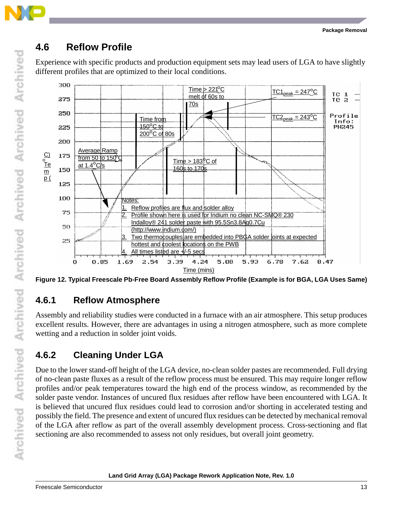

### <span id="page-12-0"></span>**4.6 Reflow Profile**

Experience with specific products and production equipment sets may lead users of LGA to have slightly different profiles that are optimized to their local conditions.



<span id="page-12-1"></span>**Figure 12. Typical Freescale Pb-Free Board Assembly Reflow Profile (Example is for BGA, LGA Uses Same)**

#### **4.6.1 Reflow Atmosphere**

Assembly and reliability studies were conducted in a furnace with an air atmosphere. This setup produces excellent results. However, there are advantages in using a nitrogen atmosphere, such as more complete wetting and a reduction in solder joint voids.

### **4.6.2 Cleaning Under LGA**

Due to the lower stand-off height of the LGA device, no-clean solder pastes are recommended. Full drying of no-clean paste fluxes as a result of the reflow process must be ensured. This may require longer reflow profiles and/or peak temperatures toward the high end of the process window, as recommended by the solder paste vendor. Instances of uncured flux residues after reflow have been encountered with LGA. It is believed that uncured flux residues could lead to corrosion and/or shorting in accelerated testing and possibly the field. The presence and extent of uncured flux residues can be detected by mechanical removal of the LGA after reflow as part of the overall assembly development process. Cross-sectioning and flat sectioning are also recommended to assess not only residues, but overall joint geometry.

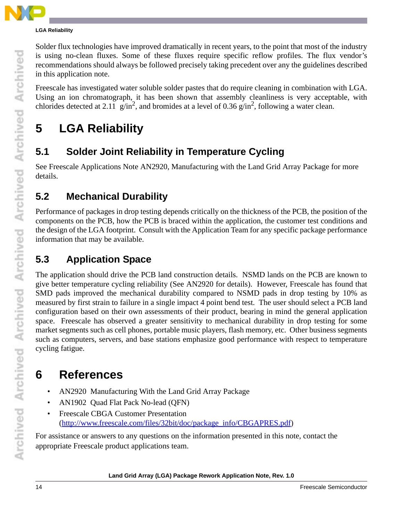#### **LGA Reliability**

Solder flux technologies have improved dramatically in recent years, to the point that most of the industry is using no-clean fluxes. Some of these fluxes require specific reflow profiles. The flux vendor's recommendations should always be followed precisely taking precedent over any the guidelines described in this application note.

Freescale has investigated water soluble solder pastes that do require cleaning in combination with LGA. Using an ion chromatograph, it has been shown that assembly cleanliness is very acceptable, with chlorides detected at 2.11 g/in<sup>2</sup>, and bromides at a level of 0.36 g/in<sup>2</sup>, following a water clean.

## **5 LGA Reliability**

## **5.1 Solder Joint Reliability in Temperature Cycling**

See Freescale Applications Note AN2920, Manufacturing with the Land Grid Array Package for more details.

### **5.2 Mechanical Durability**

Performance of packages in drop testing depends critically on the thickness of the PCB, the position of the components on the PCB, how the PCB is braced within the application, the customer test conditions and the design of the LGA footprint. Consult with the Application Team for any specific package performance information that may be available.

## **5.3 Application Space**

The application should drive the PCB land construction details. NSMD lands on the PCB are known to give better temperature cycling reliability (See AN2920 for details). However, Freescale has found that SMD pads improved the mechanical durability compared to NSMD pads in drop testing by 10% as measured by first strain to failure in a single impact 4 point bend test. The user should select a PCB land configuration based on their own assessments of their product, bearing in mind the general application space. Freescale has observed a greater sensitivity to mechanical durability in drop testing for some market segments such as cell phones, portable music players, flash memory, etc. Other business segments such as computers, servers, and base stations emphasize good performance with respect to temperature cycling fatigue.

## **6 References**

- AN2920 Manufacturing With the Land Grid Array Package
- AN1902 Quad Flat Pack No-lead (QFN)
- Freescale CBGA Customer Presentation (http://www.freescale.com/files/32bit/doc/package\_info/CBGAPRES.pdf)

For assistance or answers to any questions on the information presented in this note, contact the appropriate Freescale product applications team.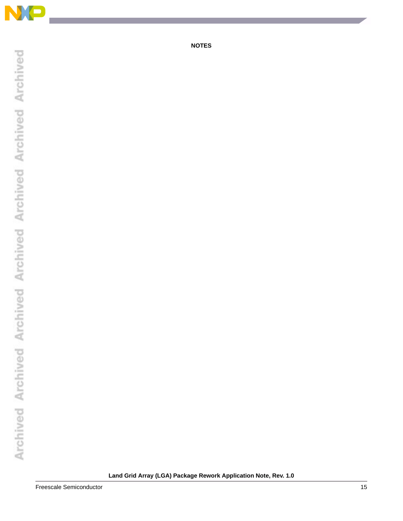

**NOTES**